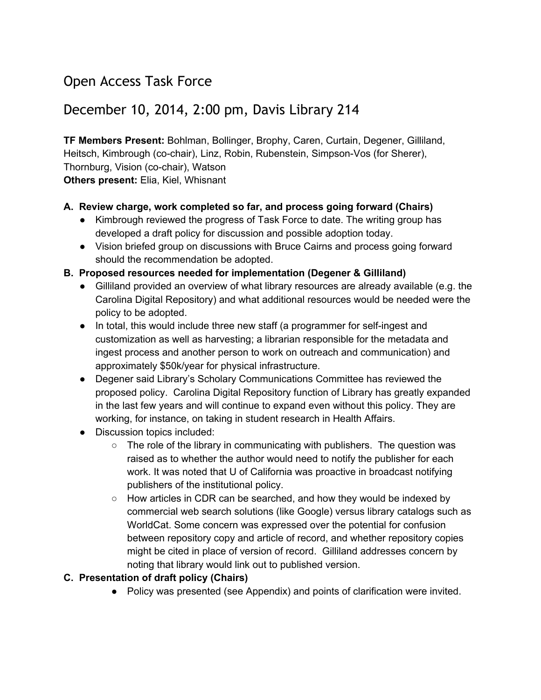# Open Access Task Force

## December 10, 2014, 2:00 pm, Davis Library 214

**TF Members Present:**Bohlman, Bollinger, Brophy, Caren, Curtain, Degener, Gilliland, Heitsch, Kimbrough (co-chair), Linz, Robin, Rubenstein, Simpson-Vos (for Sherer), Thornburg, Vision (co-chair), Watson **Others present:** Elia, Kiel, Whisnant

#### **A. Review charge, work completed so far, and process going forward (Chairs)**

- Kimbrough reviewed the progress of Task Force to date. The writing group has developed a draft policy for discussion and possible adoption today.
- Vision briefed group on discussions with Bruce Cairns and process going forward should the recommendation be adopted.

#### **B. Proposed resources needed for implementation (Degener & Gilliland)**

- Gilliland provided an overview of what library resources are already available (e.g. the Carolina Digital Repository) and what additional resources would be needed were the policy to be adopted.
- In total, this would include three new staff (a programmer for self-ingest and customization as well as harvesting; a librarian responsible for the metadata and ingest process and another person to work on outreach and communication) and approximately \$50k/year for physical infrastructure.
- Degener said Library's Scholary Communications Committee has reviewed the proposed policy. Carolina Digital Repository function of Library has greatly expanded in the last few years and will continue to expand even without this policy. They are working, for instance, on taking in student research in Health Affairs.
- Discussion topics included:
	- $\circ$  The role of the library in communicating with publishers. The question was raised as to whether the author would need to notify the publisher for each work. It was noted that U of California was proactive in broadcast notifying publishers of the institutional policy.
	- How articles in CDR can be searched, and how they would be indexed by commercial web search solutions (like Google) versus library catalogs such as WorldCat. Some concern was expressed over the potential for confusion between repository copy and article of record, and whether repository copies might be cited in place of version of record. Gilliland addresses concern by noting that library would link out to published version.

#### **C. Presentation of draft policy (Chairs)**

● Policy was presented (see Appendix) and points of clarification were invited.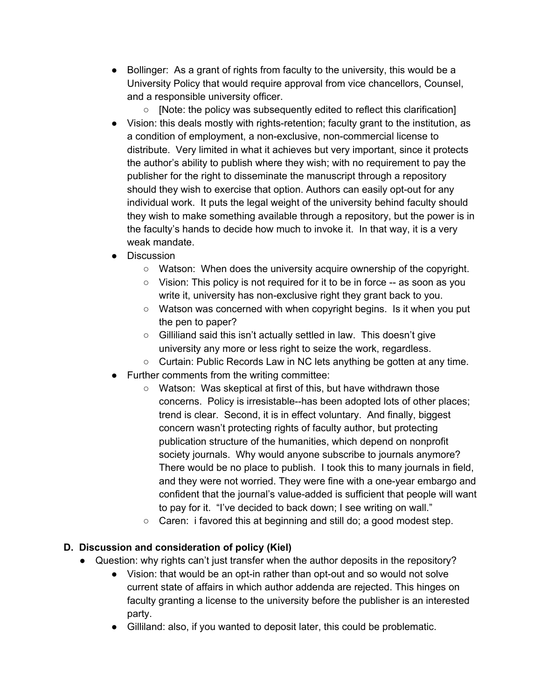- Bollinger: As a grant of rights from faculty to the university, this would be a University Policy that would require approval from vice chancellors, Counsel, and a responsible university officer.
	- [Note: the policy was subsequently edited to reflect this clarification]
- Vision: this deals mostly with rights-retention; faculty grant to the institution, as a condition of employment, a non-exclusive, non-commercial license to distribute. Very limited in what it achieves but very important, since it protects the author's ability to publish where they wish; with no requirement to pay the publisher for the right to disseminate the manuscript through a repository should they wish to exercise that option. Authors can easily opt-out for any individual work. It puts the legal weight of the university behind faculty should they wish to make something available through a repository, but the power is in the faculty's hands to decide how much to invoke it. In that way, it is a very weak mandate.
- Discussion
	- Watson: When does the university acquire ownership of the copyright.
	- Vision: This policy is not required for it to be in force -- as soon as you write it, university has non-exclusive right they grant back to you.
	- Watson was concerned with when copyright begins. Is it when you put the pen to paper?
	- Gilliliand said this isn't actually settled in law. This doesn't give university any more or less right to seize the work, regardless.
	- Curtain: Public Records Law in NC lets anything be gotten at any time.
	- Further comments from the writing committee:
		- Watson: Was skeptical at first of this, but have withdrawn those concerns. Policy is irresistable--has been adopted lots of other places; trend is clear. Second, it is in effect voluntary. And finally, biggest concern wasn't protecting rights of faculty author, but protecting publication structure of the humanities, which depend on nonprofit society journals. Why would anyone subscribe to journals anymore? There would be no place to publish. I took this to many journals in field, and they were not worried. They were fine with a one-year embargo and confident that the journal's value-added is sufficient that people will want to pay for it. "I've decided to back down; I see writing on wall."
		- Caren: i favored this at beginning and still do; a good modest step.

#### **D. Discussion and consideration of policy (Kiel)**

- Question: why rights can't just transfer when the author deposits in the repository?
	- Vision: that would be an opt-in rather than opt-out and so would not solve current state of affairs in which author addenda are rejected. This hinges on faculty granting a license to the university before the publisher is an interested party.
	- Gilliland: also, if you wanted to deposit later, this could be problematic.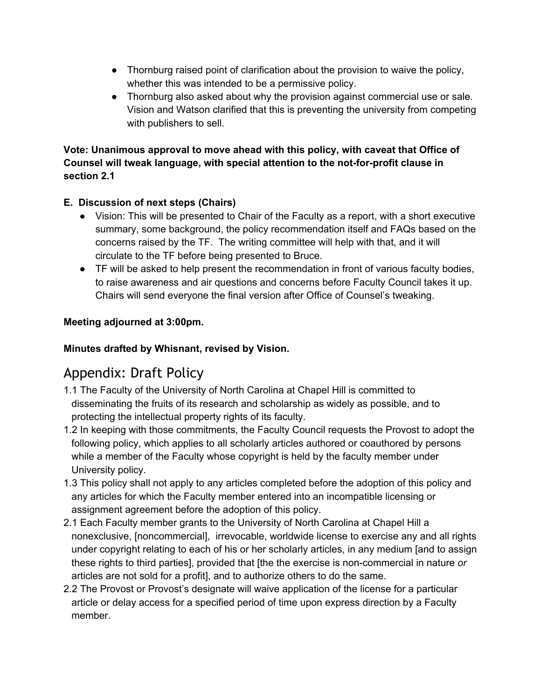- Thornburg raised point of clarification about the provision to waive the policy, whether this was intended to be a permissive policy.
- Thornburg also asked about why the provision against commercial use or sale. Vision and Watson clarified that this is preventing the university from competing with publishers to sell.

#### **Vote: Unanimous approval to move ahead with this policy, with caveat that Office of Counsel will tweak language, with special attention to the notforprofit clause in section 2.1**

## **E. Discussion of next steps (Chairs)**

- Vision: This will be presented to Chair of the Faculty as a report, with a short executive summary, some background, the policy recommendation itself and FAQs based on the concerns raised by the TF. The writing committee will help with that, and it will circulate to the TF before being presented to Bruce.
- TF will be asked to help present the recommendation in front of various faculty bodies, to raise awareness and air questions and concerns before Faculty Council takes it up. Chairs will send everyone the final version after Office of Counsel's tweaking.

### **Meeting adjourned at 3:00pm.**

### **Minutes drafted by Whisnant, revised by Vision.**

# Appendix: Draft Policy

- 1.1 The Faculty of the University of North Carolina at Chapel Hill is committed to disseminating the fruits of its research and scholarship as widely as possible, and to protecting the intellectual property rights of its faculty.
- 1.2 In keeping with those commitments, the Faculty Council requests the Provost to adopt the following policy, which applies to all scholarly articles authored or coauthored by persons while a member of the Faculty whose copyright is held by the faculty member under University policy.
- 1.3 This policy shall not apply to any articles completed before the adoption of this policy and any articles for which the Faculty member entered into an incompatible licensing or assignment agreement before the adoption of this policy.
- 2.1 Each Faculty member grants to the University of North Carolina at Chapel Hill a nonexclusive, [noncommercial], irrevocable, worldwide license to exercise any and all rights under copyright relating to each of his or her scholarly articles, in any medium [and to assign these rights to third parties], provided that [the the exercise is noncommercial in nature *or* articles are not sold for a profit], and to authorize others to do the same.
- 2.2 The Provost or Provost's designate will waive application of the license for a particular article or delay access for a specified period of time upon express direction by a Faculty member.